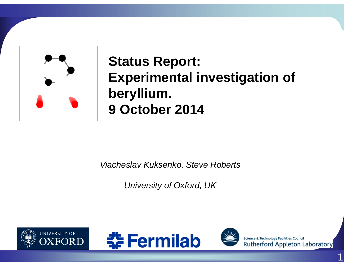

# **Status Report: Experimental investigation of beryllium. 9 October 2014**

*Viacheslav Kuksenko, Steve Roberts*

*University of Oxford, UK*







**Science & Technology Facilities Council Rutherford Appleton Laboratory**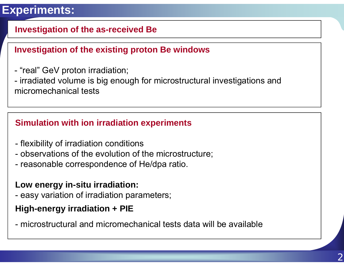## **Experiments:**

## **Investigation of the as-received Be**

## **Investigation of the existing proton Be windows**

"real" GeV proton irradiation;

 irradiated volume is big enough for microstructural investigations and micromechanical tests

## **Simulation with ion irradiation experiments**

- flexibility of irradiation conditions
- observations of the evolution of the microstructure;
- reasonable correspondence of He/dpa ratio.

## **Low energy in-situ irradiation:**

easy variation of irradiation parameters;

## **High-energy irradiation + PIE**

- microstructural and micromechanical tests data will be available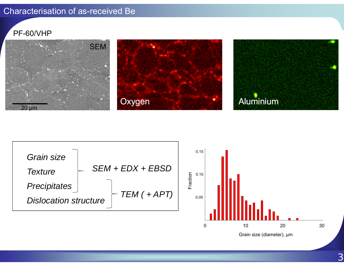#### Characterisation of as-received Be

#### PF-60/VHP





0

 10 20 30 Grain size (diameter), µm

3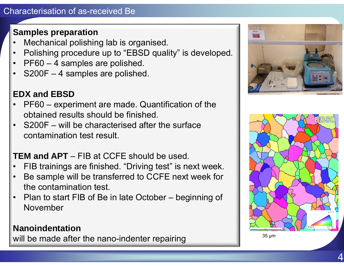## **Samples preparation**

- •Mechanical polishing lab is organised.
- •Polishing procedure up to "EBSD quality" is developed.
- •PF60 – 4 samples are polished.
- •S200F – 4 samples are polished.

## **EDX and EBSD**

- • PF60 – experiment are made. Quantification of the obtained results should be finished.
- • S200F – will be characterised after the surface contamination test result.

## **TEM and APT** – FIB at CCFE should be used.

- •FIB trainings are finished. "Driving test" is next week.
- • Be sample will be transferred to CCFE next week for the contamination test.
- Plan to start FIB of Be in late October beginning of November

## **Nanoindentation**

will be made after the nano-indenter repairing



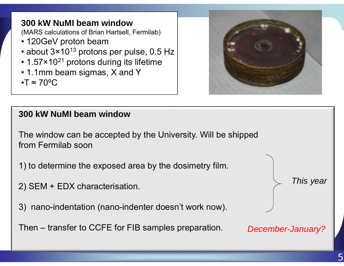**300 kW NuMI beam window**  (MARS calculations of Brian Hartsell, Fermilab) • 120GeV proton beam  $\bullet$  about 3×10 $^{13}$  protons per pulse, 0.5 Hz  $\bullet$  1.57×10<sup>21</sup> protons during its lifetime • 1.1mm beam sigmas, X and Y  $\cdot$ T  $\approx$  70°C



## **300 kW NuMI beam window**

The window can be accepted by the University. Will be shipped from Fermilab soon

- 1) to determine the exposed area by the dosimetry film.
- 2) SEM + EDX characterisation.
- 3) nano-indentation (nano-indenter doesn't work now).

Then – transfer to CCFE for FIB samples preparation.

*This year*